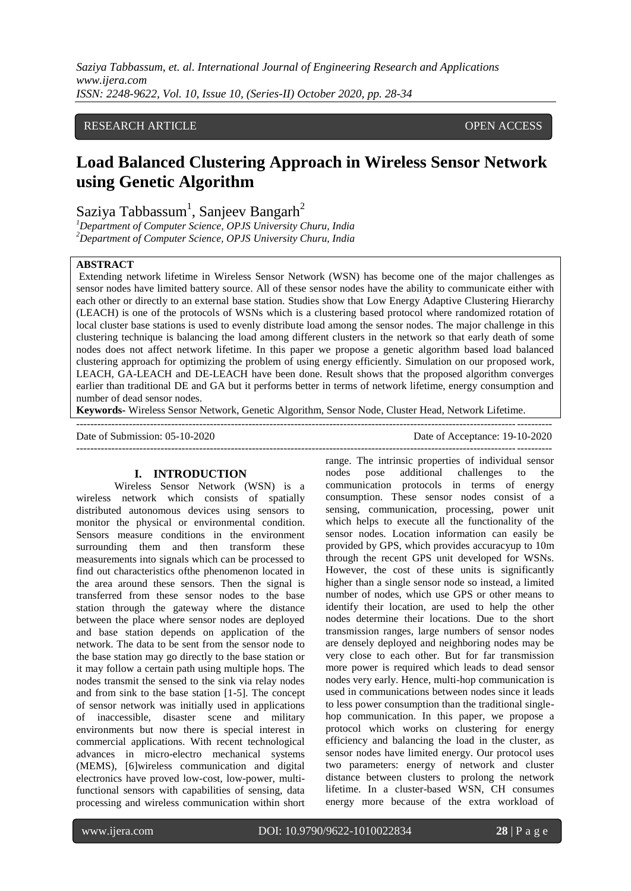*Saziya Tabbassum, et. al. International Journal of Engineering Research and Applications www.ijera.com ISSN: 2248-9622, Vol. 10, Issue 10, (Series-II) October 2020, pp. 28-34*

# RESEARCH ARTICLE OPEN ACCESS

# **Load Balanced Clustering Approach in Wireless Sensor Network using Genetic Algorithm**

Saziya Tabbassum<sup>1</sup>, Sanjeev Bangarh<sup>2</sup>

*<sup>1</sup>Department of Computer Science, OPJS University Churu, India <sup>2</sup>Department of Computer Science, OPJS University Churu, India*

#### **ABSTRACT**

Extending network lifetime in Wireless Sensor Network (WSN) has become one of the major challenges as sensor nodes have limited battery source. All of these sensor nodes have the ability to communicate either with each other or directly to an external base station. Studies show that Low Energy Adaptive Clustering Hierarchy (LEACH) is one of the protocols of WSNs which is a clustering based protocol where randomized rotation of local cluster base stations is used to evenly distribute load among the sensor nodes. The major challenge in this clustering technique is balancing the load among different clusters in the network so that early death of some nodes does not affect network lifetime. In this paper we propose a genetic algorithm based load balanced clustering approach for optimizing the problem of using energy efficiently. Simulation on our proposed work, LEACH, GA-LEACH and DE-LEACH have been done. Result shows that the proposed algorithm converges earlier than traditional DE and GA but it performs better in terms of network lifetime, energy consumption and number of dead sensor nodes.

**Keywords-** Wireless Sensor Network, Genetic Algorithm, Sensor Node, Cluster Head, Network Lifetime.

---------------------------------------------------------------------------------------------------------------------------------------

Date of Submission: 05-10-2020 Date of Acceptance: 19-10-2020

# **I. INTRODUCTION**

Wireless Sensor Network (WSN) is a wireless network which consists of spatially distributed autonomous devices using sensors to monitor the physical or environmental condition. Sensors measure conditions in the environment surrounding them and then transform these measurements into signals which can be processed to find out characteristics ofthe phenomenon located in the area around these sensors. Then the signal is transferred from these sensor nodes to the base station through the gateway where the distance between the place where sensor nodes are deployed and base station depends on application of the network. The data to be sent from the sensor node to the base station may go directly to the base station or it may follow a certain path using multiple hops. The nodes transmit the sensed to the sink via relay nodes and from sink to the base station [1-5]. The concept of sensor network was initially used in applications of inaccessible, disaster scene and military environments but now there is special interest in commercial applications. With recent technological advances in micro-electro mechanical systems (MEMS), [6]wireless communication and digital electronics have proved low-cost, low-power, multifunctional sensors with capabilities of sensing, data processing and wireless communication within short

range. The intrinsic properties of individual sensor nodes pose additional challenges to the communication protocols in terms of energy consumption. These sensor nodes consist of a sensing, communication, processing, power unit which helps to execute all the functionality of the sensor nodes. Location information can easily be provided by GPS, which provides accuracyup to 10m through the recent GPS unit developed for WSNs. However, the cost of these units is significantly higher than a single sensor node so instead, a limited number of nodes, which use GPS or other means to identify their location, are used to help the other nodes determine their locations. Due to the short transmission ranges, large numbers of sensor nodes are densely deployed and neighboring nodes may be very close to each other. But for far transmission more power is required which leads to dead sensor nodes very early. Hence, multi-hop communication is used in communications between nodes since it leads to less power consumption than the traditional singlehop communication. In this paper, we propose a protocol which works on clustering for energy efficiency and balancing the load in the cluster, as sensor nodes have limited energy. Our protocol uses two parameters: energy of network and cluster distance between clusters to prolong the network lifetime. In a cluster-based WSN, CH consumes energy more because of the extra workload of

---------------------------------------------------------------------------------------------------------------------------------------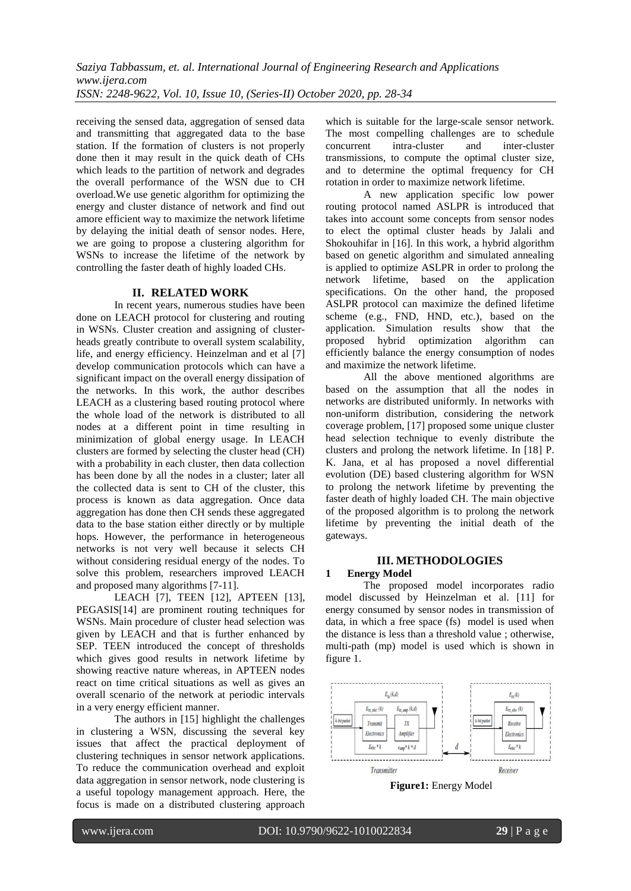receiving the sensed data, aggregation of sensed data and transmitting that aggregated data to the base station. If the formation of clusters is not properly done then it may result in the quick death of CHs which leads to the partition of network and degrades the overall performance of the WSN due to CH overload.We use genetic algorithm for optimizing the energy and cluster distance of network and find out amore efficient way to maximize the network lifetime by delaying the initial death of sensor nodes. Here, we are going to propose a clustering algorithm for WSNs to increase the lifetime of the network by controlling the faster death of highly loaded CHs.

## **II. RELATED WORK**

In recent years, numerous studies have been done on LEACH protocol for clustering and routing in WSNs. Cluster creation and assigning of clusterheads greatly contribute to overall system scalability, life, and energy efficiency. Heinzelman and et al [7] develop communication protocols which can have a significant impact on the overall energy dissipation of the networks. In this work, the author describes LEACH as a clustering based routing protocol where the whole load of the network is distributed to all nodes at a different point in time resulting in minimization of global energy usage. In LEACH clusters are formed by selecting the cluster head (CH) with a probability in each cluster, then data collection has been done by all the nodes in a cluster; later all the collected data is sent to CH of the cluster, this process is known as data aggregation. Once data aggregation has done then CH sends these aggregated data to the base station either directly or by multiple hops. However, the performance in heterogeneous networks is not very well because it selects CH without considering residual energy of the nodes. To solve this problem, researchers improved LEACH and proposed many algorithms [7-11].

LEACH [7], TEEN [12], APTEEN [13], PEGASIS[14] are prominent routing techniques for WSNs. Main procedure of cluster head selection was given by LEACH and that is further enhanced by SEP. TEEN introduced the concept of thresholds which gives good results in network lifetime by showing reactive nature whereas, in APTEEN nodes react on time critical situations as well as gives an overall scenario of the network at periodic intervals in a very energy efficient manner.

The authors in [15] highlight the challenges in clustering a WSN, discussing the several key issues that affect the practical deployment of clustering techniques in sensor network applications. To reduce the communication overhead and exploit data aggregation in sensor network, node clustering is a useful topology management approach. Here, the focus is made on a distributed clustering approach

which is suitable for the large-scale sensor network. The most compelling challenges are to schedule concurrent intra-cluster and inter-cluster transmissions, to compute the optimal cluster size, and to determine the optimal frequency for CH rotation in order to maximize network lifetime.

A new application specific low power routing protocol named ASLPR is introduced that takes into account some concepts from sensor nodes to elect the optimal cluster heads by Jalali and Shokouhifar in [16]. In this work, a hybrid algorithm based on genetic algorithm and simulated annealing is applied to optimize ASLPR in order to prolong the network lifetime, based on the application specifications. On the other hand, the proposed ASLPR protocol can maximize the defined lifetime scheme (e.g., FND, HND, etc.), based on the application. Simulation results show that the proposed hybrid optimization algorithm can efficiently balance the energy consumption of nodes and maximize the network lifetime.

All the above mentioned algorithms are based on the assumption that all the nodes in networks are distributed uniformly. In networks with non-uniform distribution, considering the network coverage problem, [17] proposed some unique cluster head selection technique to evenly distribute the clusters and prolong the network lifetime. In [18] P. K. Jana, et al has proposed a novel differential evolution (DE) based clustering algorithm for WSN to prolong the network lifetime by preventing the faster death of highly loaded CH. The main objective of the proposed algorithm is to prolong the network lifetime by preventing the initial death of the gateways.

## **III. METHODOLOGIES**

#### **1 Energy Model**

The proposed model incorporates radio model discussed by Heinzelman et al. [11] for energy consumed by sensor nodes in transmission of data, in which a free space (fs) model is used when the distance is less than a threshold value ; otherwise, multi-path (mp) model is used which is shown in figure 1.



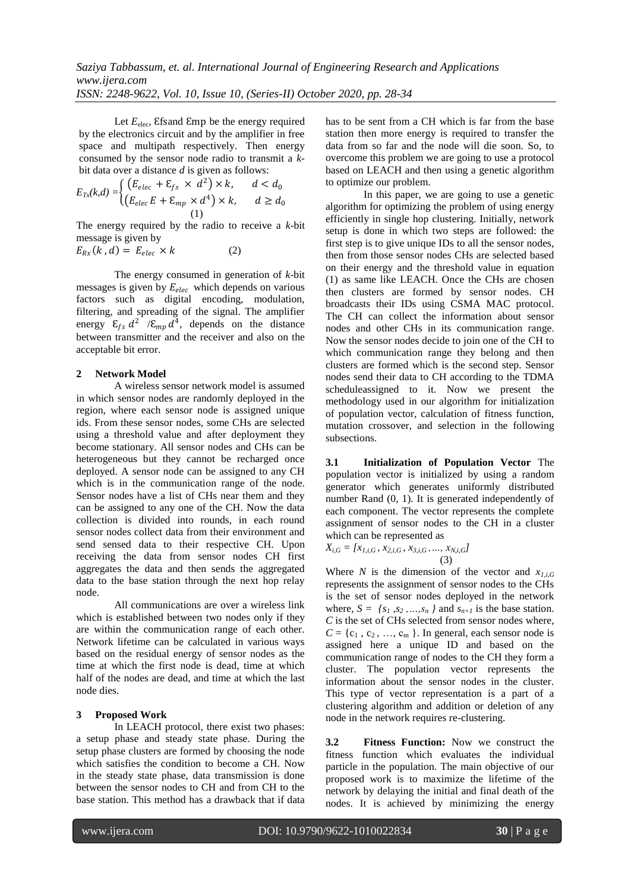Let  $E_{\text{elec}}$ , Efsand Emp be the energy required by the electronics circuit and by the amplifier in free space and multipath respectively. Then energy consumed by the sensor node radio to transmit a *k*bit data over a distance *d* is given as follows:

$$
E_{Tx}(k,d) = \begin{cases} \left(E_{elec} + \varepsilon_{fs} \times d^2\right) \times k, & d < d_0\\ \left(E_{elec}E + \varepsilon_{mp} \times d^4\right) \times k, & d \ge d_0\\ 1) \end{cases}
$$

The energy required by the radio to receive a *k*-bit message is given by

$$
E_{Rx}(k,d) = E_{elec} \times k \tag{2}
$$

The energy consumed in generation of *k*-bit messages is given by  $E_{elec}$  which depends on various factors such as digital encoding, modulation, filtering, and spreading of the signal. The amplifier energy  $\mathcal{E}_{f_s} d^2$  / $\mathcal{E}_{mp} d^4$ , depends on the distance between transmitter and the receiver and also on the acceptable bit error.

## **2 Network Model**

A wireless sensor network model is assumed in which sensor nodes are randomly deployed in the region, where each sensor node is assigned unique ids. From these sensor nodes, some CHs are selected using a threshold value and after deployment they become stationary. All sensor nodes and CHs can be heterogeneous but they cannot be recharged once deployed. A sensor node can be assigned to any CH which is in the communication range of the node. Sensor nodes have a list of CHs near them and they can be assigned to any one of the CH. Now the data collection is divided into rounds, in each round sensor nodes collect data from their environment and send sensed data to their respective CH. Upon receiving the data from sensor nodes CH first aggregates the data and then sends the aggregated data to the base station through the next hop relay node.

All communications are over a wireless link which is established between two nodes only if they are within the communication range of each other. Network lifetime can be calculated in various ways based on the residual energy of sensor nodes as the time at which the first node is dead, time at which half of the nodes are dead, and time at which the last node dies.

## **3 Proposed Work**

In LEACH protocol, there exist two phases: a setup phase and steady state phase. During the setup phase clusters are formed by choosing the node which satisfies the condition to become a CH. Now in the steady state phase, data transmission is done between the sensor nodes to CH and from CH to the base station. This method has a drawback that if data has to be sent from a CH which is far from the base station then more energy is required to transfer the data from so far and the node will die soon. So, to overcome this problem we are going to use a protocol based on LEACH and then using a genetic algorithm to optimize our problem.

In this paper, we are going to use a genetic algorithm for optimizing the problem of using energy efficiently in single hop clustering. Initially, network setup is done in which two steps are followed: the first step is to give unique IDs to all the sensor nodes, then from those sensor nodes CHs are selected based on their energy and the threshold value in equation (1) as same like LEACH. Once the CHs are chosen then clusters are formed by sensor nodes. CH broadcasts their IDs using CSMA MAC protocol. The CH can collect the information about sensor nodes and other CHs in its communication range. Now the sensor nodes decide to join one of the CH to which communication range they belong and then clusters are formed which is the second step. Sensor nodes send their data to CH according to the TDMA scheduleassigned to it. Now we present the methodology used in our algorithm for initialization of population vector, calculation of fitness function, mutation crossover, and selection in the following subsections.

**3.1 Initialization of Population Vector** The population vector is initialized by using a random generator which generates uniformly distributed number Rand (0, 1). It is generated independently of each component. The vector represents the complete assignment of sensor nodes to the CH in a cluster which can be represented as

$$
X_{i,G} = [x_{I,i,G}, x_{2,i,G}, x_{3,i,G}, ..., x_{N,i,G}]
$$
\n(3)

Where *N* is the dimension of the vector and  $x_{l,i,G}$ represents the assignment of sensor nodes to the CHs is the set of sensor nodes deployed in the network where,  $S = \{s_1, s_2, \ldots, s_n\}$  and  $s_{n+1}$  is the base station. *C* is the set of CHs selected from sensor nodes where,  $C = \{c_1, c_2, ..., c_m\}$ . In general, each sensor node is assigned here a unique ID and based on the communication range of nodes to the CH they form a cluster. The population vector represents the information about the sensor nodes in the cluster. This type of vector representation is a part of a clustering algorithm and addition or deletion of any node in the network requires re-clustering.

**3.2 Fitness Function:** Now we construct the fitness function which evaluates the individual particle in the population. The main objective of our proposed work is to maximize the lifetime of the network by delaying the initial and final death of the nodes. It is achieved by minimizing the energy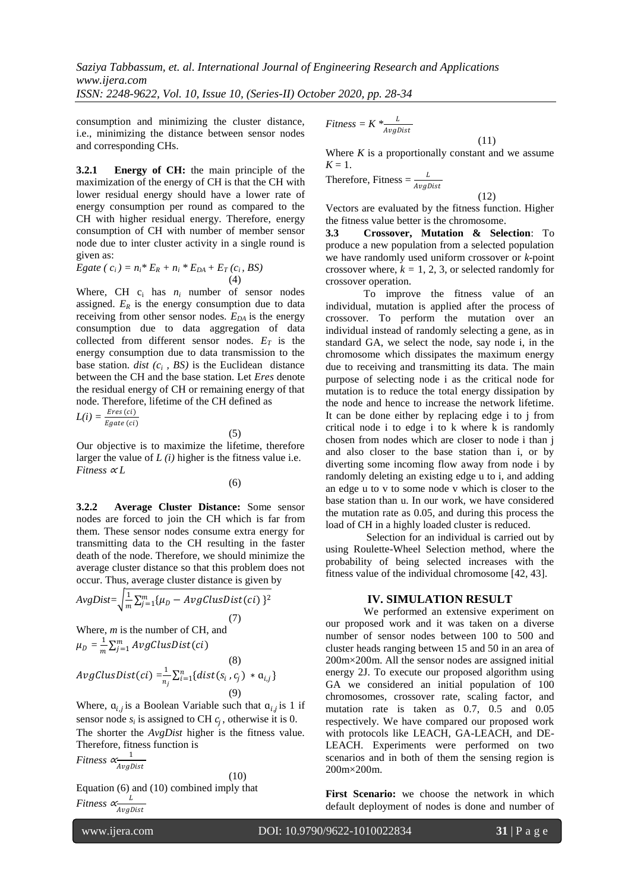*Saziya Tabbassum, et. al. International Journal of Engineering Research and Applications www.ijera.com ISSN: 2248-9622, Vol. 10, Issue 10, (Series-II) October 2020, pp. 28-34*

consumption and minimizing the cluster distance, i.e., minimizing the distance between sensor nodes and corresponding CHs.

**3.2.1 Energy of CH:** the main principle of the maximization of the energy of CH is that the CH with lower residual energy should have a lower rate of energy consumption per round as compared to the CH with higher residual energy. Therefore, energy consumption of CH with number of member sensor node due to inter cluster activity in a single round is given as:

Egate 
$$
(c_i) = n_i * E_R + n_i * E_{DA} + E_T(c_i, BS)
$$
  
(4)

Where, CH  $c_i$  has  $n_i$  number of sensor nodes assigned.  $E_R$  is the energy consumption due to data receiving from other sensor nodes. *EDA* is the energy consumption due to data aggregation of data collected from different sensor nodes.  $E_T$  is the energy consumption due to data transmission to the base station.  $dist(c_i, BS)$  is the Euclidean distance between the CH and the base station. Let *Eres* denote the residual energy of CH or remaining energy of that node. Therefore, lifetime of the CH defined as

$$
L(i) = \frac{Eres\left( ci\right)}{Egate\left( ci\right)}
$$

Our objective is to maximize the lifetime, therefore larger the value of  $L(i)$  higher is the fitness value i.e. *Fitness*  $\alpha L$ 

(6)

(5)

**3.2.2 Average Cluster Distance:** Some sensor nodes are forced to join the CH which is far from them. These sensor nodes consume extra energy for transmitting data to the CH resulting in the faster death of the node. Therefore, we should minimize the average cluster distance so that this problem does not occur. Thus, average cluster distance is given by

$$
AvgDist = \sqrt{\frac{1}{m} \sum_{j=1}^{m} {\mu_D - AvgClassic(i) \ }^2}
$$
\n(7)

Where, *m* is the number of CH, and  $\mu_D = \frac{1}{m}$  $\frac{1}{m}\sum_{j=1}^{m}AvgClassDist$ 

(8)  
\n
$$
AvgClusDist(ci) = \frac{1}{n_j} \sum_{i=1}^{n} \{dist(s_i, c_j) * \mathfrak{a}_{i,j}\}\
$$
\n(9)

Where,  $a_{i,j}$  is a Boolean Variable such that  $a_{i,j}$  is 1 if sensor node  $s_i$  is assigned to CH  $c_j$ , otherwise it is 0. The shorter the *AvgDist* higher is the fitness value. Therefore, fitness function is

$$
Fitness \propto \frac{1}{AvgDist}
$$
 (10)

Equation (6) and (10) combined imply that *Fitness* <sup>∝</sup> AvgDist

$$
Fitness = K * \frac{L}{AvgDist}
$$

Where  $K$  is a proportionally constant and we assume  $K = 1$ .

(11)

(12)

Therefore, Fitness = 
$$
\frac{L}{AvgDist}
$$

Vectors are evaluated by the fitness function. Higher the fitness value better is the chromosome.

**3.3 Crossover, Mutation & Selection**: To produce a new population from a selected population we have randomly used uniform crossover or *k*-point crossover where,  $k = 1, 2, 3$ , or selected randomly for crossover operation.

To improve the fitness value of an individual, mutation is applied after the process of crossover. To perform the mutation over an individual instead of randomly selecting a gene, as in standard GA, we select the node, say node i, in the chromosome which dissipates the maximum energy due to receiving and transmitting its data. The main purpose of selecting node i as the critical node for mutation is to reduce the total energy dissipation by the node and hence to increase the network lifetime. It can be done either by replacing edge i to j from critical node i to edge i to k where k is randomly chosen from nodes which are closer to node i than j and also closer to the base station than i, or by diverting some incoming flow away from node i by randomly deleting an existing edge u to i, and adding an edge u to v to some node v which is closer to the base station than u. In our work, we have considered the mutation rate as 0.05, and during this process the load of CH in a highly loaded cluster is reduced.

Selection for an individual is carried out by using Roulette-Wheel Selection method, where the probability of being selected increases with the fitness value of the individual chromosome [42, 43].

## **IV. SIMULATION RESULT**

We performed an extensive experiment on our proposed work and it was taken on a diverse number of sensor nodes between 100 to 500 and cluster heads ranging between 15 and 50 in an area of 200m×200m. All the sensor nodes are assigned initial energy 2J. To execute our proposed algorithm using GA we considered an initial population of 100 chromosomes, crossover rate, scaling factor, and mutation rate is taken as 0.7, 0.5 and 0.05 respectively. We have compared our proposed work with protocols like LEACH, GA-LEACH, and DE-LEACH. Experiments were performed on two scenarios and in both of them the sensing region is 200m×200m.

**First Scenario:** we choose the network in which default deployment of nodes is done and number of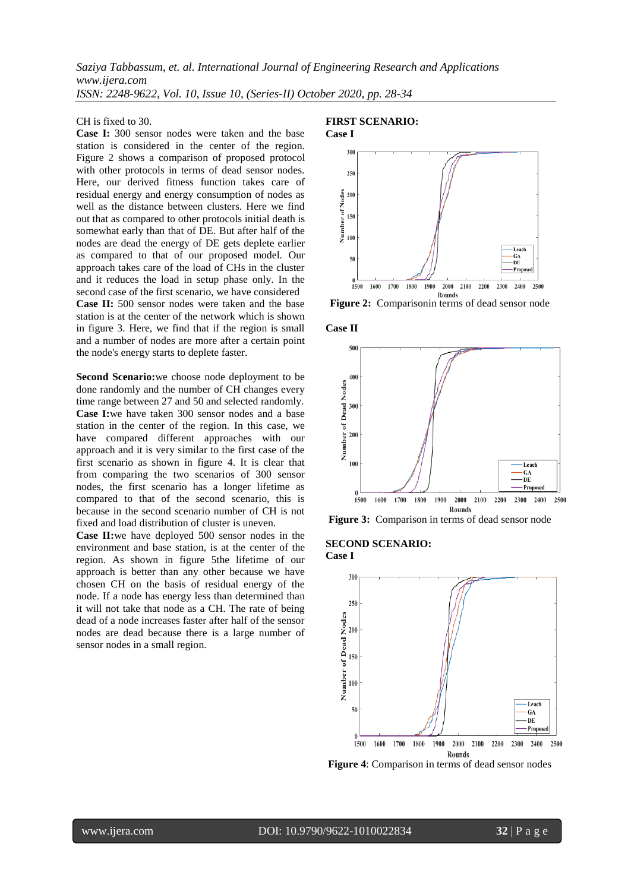*Saziya Tabbassum, et. al. International Journal of Engineering Research and Applications www.ijera.com ISSN: 2248-9622, Vol. 10, Issue 10, (Series-II) October 2020, pp. 28-34*

#### CH is fixed to 30.

**Case I:** 300 sensor nodes were taken and the base station is considered in the center of the region. Figure 2 shows a comparison of proposed protocol with other protocols in terms of dead sensor nodes. Here, our derived fitness function takes care of residual energy and energy consumption of nodes as well as the distance between clusters. Here we find out that as compared to other protocols initial death is somewhat early than that of DE. But after half of the nodes are dead the energy of DE gets deplete earlier as compared to that of our proposed model. Our approach takes care of the load of CHs in the cluster and it reduces the load in setup phase only. In the second case of the first scenario, we have considered **Case II:** 500 sensor nodes were taken and the base station is at the center of the network which is shown in figure 3. Here, we find that if the region is small and a number of nodes are more after a certain point the node's energy starts to deplete faster.

**Second Scenario:**we choose node deployment to be done randomly and the number of CH changes every time range between 27 and 50 and selected randomly. **Case I:**we have taken 300 sensor nodes and a base station in the center of the region. In this case, we have compared different approaches with our approach and it is very similar to the first case of the first scenario as shown in figure 4. It is clear that from comparing the two scenarios of 300 sensor nodes, the first scenario has a longer lifetime as compared to that of the second scenario, this is because in the second scenario number of CH is not fixed and load distribution of cluster is uneven.

**Case II:**we have deployed 500 sensor nodes in the environment and base station, is at the center of the region. As shown in figure 5the lifetime of our approach is better than any other because we have chosen CH on the basis of residual energy of the node. If a node has energy less than determined than it will not take that node as a CH. The rate of being dead of a node increases faster after half of the sensor nodes are dead because there is a large number of sensor nodes in a small region.

#### **FIRST SCENARIO: Case I**



**Figure 2:** Comparisonin terms of dead sensor node







#### **SECOND SCENARIO: Case I**



**Figure 4**: Comparison in terms of dead sensor nodes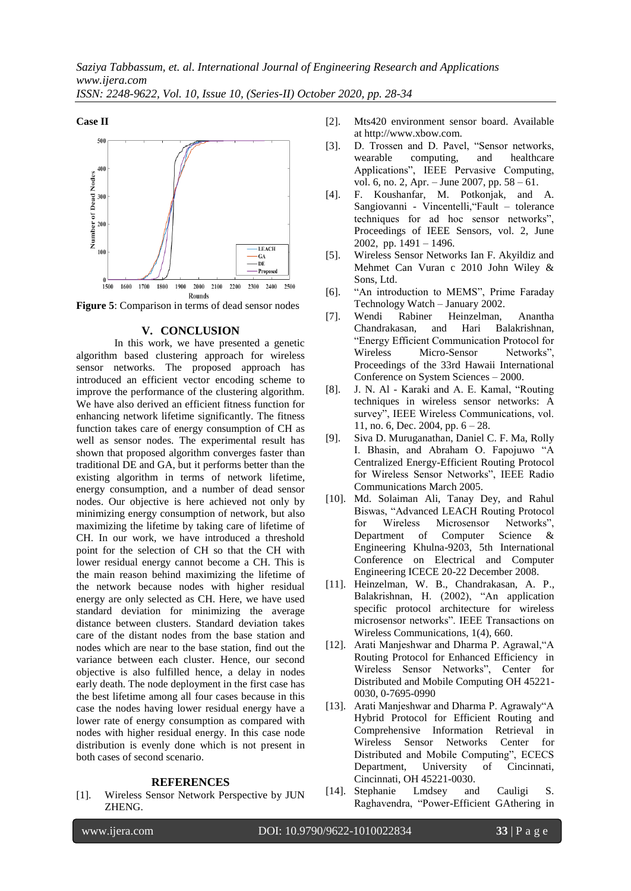

**Figure 5**: Comparison in terms of dead sensor nodes

#### **V. CONCLUSION**

In this work, we have presented a genetic algorithm based clustering approach for wireless sensor networks. The proposed approach has introduced an efficient vector encoding scheme to improve the performance of the clustering algorithm. We have also derived an efficient fitness function for enhancing network lifetime significantly. The fitness function takes care of energy consumption of CH as well as sensor nodes. The experimental result has shown that proposed algorithm converges faster than traditional DE and GA, but it performs better than the existing algorithm in terms of network lifetime, energy consumption, and a number of dead sensor nodes. Our objective is here achieved not only by minimizing energy consumption of network, but also maximizing the lifetime by taking care of lifetime of CH. In our work, we have introduced a threshold point for the selection of CH so that the CH with lower residual energy cannot become a CH. This is the main reason behind maximizing the lifetime of the network because nodes with higher residual energy are only selected as CH. Here, we have used standard deviation for minimizing the average distance between clusters. Standard deviation takes care of the distant nodes from the base station and nodes which are near to the base station, find out the variance between each cluster. Hence, our second objective is also fulfilled hence, a delay in nodes early death. The node deployment in the first case has the best lifetime among all four cases because in this case the nodes having lower residual energy have a lower rate of energy consumption as compared with nodes with higher residual energy. In this case node distribution is evenly done which is not present in both cases of second scenario.

#### **REFERENCES**

[1]. Wireless Sensor Network Perspective by JUN ZHENG.

- [2]. Mts420 environment sensor board. Available at http://www.xbow.com.
- [3]. D. Trossen and D. Pavel, "Sensor networks, wearable computing, and healthcare Applications", IEEE Pervasive Computing, vol. 6, no. 2, Apr. – June 2007, pp. 58 – 61.
- [4]. F. Koushanfar, M. Potkonjak, and A. Sangiovanni - Vincentelli,"Fault – tolerance techniques for ad hoc sensor networks", Proceedings of IEEE Sensors, vol. 2, June 2002, pp. 1491 – 1496.
- [5]. Wireless Sensor Networks Ian F. Akyildiz and Mehmet Can Vuran c 2010 John Wiley & Sons, Ltd.
- [6]. "An introduction to MEMS", Prime Faraday Technology Watch – January 2002.
- [7]. Wendi Rabiner Heinzelman, Anantha Chandrakasan, and Hari Balakrishnan, "Energy Efficient Communication Protocol for Wireless Micro-Sensor Networks", Proceedings of the 33rd Hawaii International Conference on System Sciences – 2000.
- [8]. J. N. Al Karaki and A. E. Kamal, "Routing techniques in wireless sensor networks: A survey", IEEE Wireless Communications, vol. 11, no. 6, Dec. 2004, pp. 6 – 28.
- [9]. Siva D. Muruganathan, Daniel C. F. Ma, Rolly I. Bhasin, and Abraham O. Fapojuwo "A Centralized Energy-Efficient Routing Protocol for Wireless Sensor Networks", IEEE Radio Communications March 2005.
- [10]. Md. Solaiman Ali, Tanay Dey, and Rahul Biswas, "Advanced LEACH Routing Protocol for Wireless Microsensor Networks",<br>Department of Computer Science & Department of Computer Science & Engineering Khulna-9203, 5th International Conference on Electrical and Computer Engineering ICECE 20-22 December 2008.
- [11]. Heinzelman, W. B., Chandrakasan, A. P., Balakrishnan, H. (2002), "An application specific protocol architecture for wireless microsensor networks". IEEE Transactions on Wireless Communications, 1(4), 660.
- [12]. Arati Manjeshwar and Dharma P. Agrawal,"A Routing Protocol for Enhanced Efficiency in Wireless Sensor Networks", Center for Distributed and Mobile Computing OH 45221- 0030, 0-7695-0990
- [13]. Arati Manjeshwar and Dharma P. Agrawaly"A Hybrid Protocol for Efficient Routing and Comprehensive Information Retrieval in Wireless Sensor Networks Center for Distributed and Mobile Computing", ECECS Department, University of Cincinnati, Cincinnati, OH 45221-0030.
- [14]. Stephanie Lmdsey and Cauligi S. Raghavendra, "Power-Efficient GAthering in